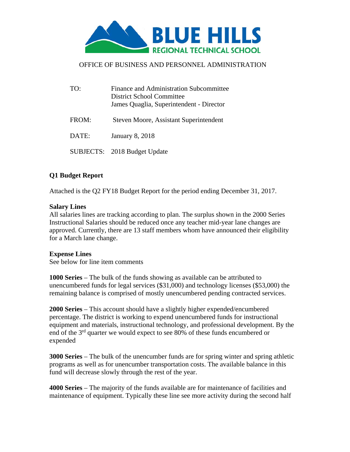

# OFFICE OF BUSINESS AND PERSONNEL ADMINISTRATION

| TO:   | Finance and Administration Subcommittee<br>District School Committee<br>James Quaglia, Superintendent - Director |
|-------|------------------------------------------------------------------------------------------------------------------|
| FROM: | Steven Moore, Assistant Superintendent                                                                           |
| DATE: | <b>January 8, 2018</b>                                                                                           |
|       | SUBJECTS: 2018 Budget Update                                                                                     |

# **Q1 Budget Report**

Attached is the Q2 FY18 Budget Report for the period ending December 31, 2017.

## **Salary Lines**

All salaries lines are tracking according to plan. The surplus shown in the 2000 Series Instructional Salaries should be reduced once any teacher mid-year lane changes are approved. Currently, there are 13 staff members whom have announced their eligibility for a March lane change.

#### **Expense Lines**

See below for line item comments

**1000 Series** – The bulk of the funds showing as available can be attributed to unencumbered funds for legal services (\$31,000) and technology licenses (\$53,000) the remaining balance is comprised of mostly unencumbered pending contracted services.

**2000 Series** – This account should have a slightly higher expended/encumbered percentage. The district is working to expend unencumbered funds for instructional equipment and materials, instructional technology, and professional development. By the end of the 3rd quarter we would expect to see 80% of these funds encumbered or expended

**3000 Series** – The bulk of the unencumber funds are for spring winter and spring athletic programs as well as for unencumber transportation costs. The available balance in this fund will decrease slowly through the rest of the year.

**4000 Series** – The majority of the funds available are for maintenance of facilities and maintenance of equipment. Typically these line see more activity during the second half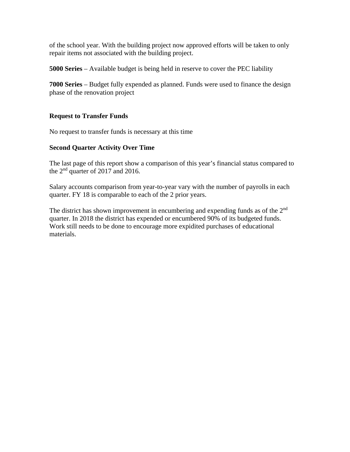of the school year. With the building project now approved efforts will be taken to only repair items not associated with the building project.

**5000 Series** – Available budget is being held in reserve to cover the PEC liability

**7000 Series** – Budget fully expended as planned. Funds were used to finance the design phase of the renovation project

# **Request to Transfer Funds**

No request to transfer funds is necessary at this time

#### **Second Quarter Activity Over Time**

The last page of this report show a comparison of this year's financial status compared to the 2nd quarter of 2017 and 2016.

Salary accounts comparison from year-to-year vary with the number of payrolls in each quarter. FY 18 is comparable to each of the 2 prior years.

The district has shown improvement in encumbering and expending funds as of the 2<sup>nd</sup> quarter. In 2018 the district has expended or encumbered 90% of its budgeted funds. Work still needs to be done to encourage more expidited purchases of educational materials.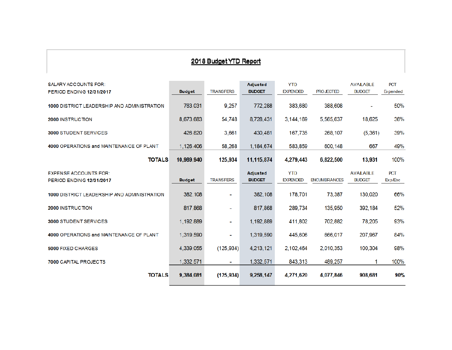# 2018 Budget YTD Report

| <b>SALARY ACCOUNTS FOR:</b>                 |               |                  | <b>Adjusted</b> | <b>YTD</b>      |                     | <b>AVALABLE</b> | <b>PCT</b>      |
|---------------------------------------------|---------------|------------------|-----------------|-----------------|---------------------|-----------------|-----------------|
| <b>PERIOD ENDING 12/31/2017</b>             | <b>Budget</b> | <b>TRANSFERS</b> | <b>BUDGET</b>   | <b>EXPENDED</b> | <b>PROJECTED</b>    | <b>BUDGET</b>   | <b>Expended</b> |
| 1000 DISTRICT LEADERSHIP AND ADMINISTRATION | 763,031       | 9,257            | 772,288         | 383,680         | 388,608             |                 | 50%             |
| 2000 INSTRUCTION                            | 8.673.683     | 54,748           | 8,728,431       | 3.144.169       | 5.565.637           | 18,625          | 36%             |
| <b>3000 STUDENT SERVICES</b>                | 426,820       | 3,661            | 430,481         | 167,735         | 268,107             | (5, 361)        | 39%             |
| 4000 OPERATIONS and MAINTENANCE OF PLANT    | 1,126,406     | 58,268           | 1,184,674       | 583,859         | 600,148             | 667             | 49%             |
| <b>TOTALS</b>                               | 10,989,940    | 125,934          | 11,115,874      | 4,279,443       | 6,822,500           | 13,931          | 100%            |
| <b>EXPENSE ACCOUNTS FOR:</b>                |               |                  | <b>Adjusted</b> | <b>YTD</b>      |                     | <b>AVALABLE</b> | <b>PCT</b>      |
| <b>PERIOD ENDING 12/31/2017</b>             | <b>Budget</b> | <b>TRANSFERS</b> | <b>BUDGET</b>   | <b>EXPENDED</b> | <b>ENCUMBRANCES</b> | <b>BUDGET</b>   | Exp/Enc         |
| 1000 DISTRICT LEADERSHIP AND ADMINISTRATION | 382,108       | ÷                | 382,108         | 178,701         | 73,387              | 130,020         | 66%             |
| 2000 INSTRUCTION                            | 817,868       | $\blacksquare$   | 817,868         | 289,734         | 135,950             | 392,184         | 52%             |
| <b>3000 STUDENT SERVICES</b>                | 1,192,889     | ۰                | 1,192,889       | 411,802         | 702,882             | 78,205          | 93%             |
| 4000 OPERATIONS and MAINTENANCE OF PLANT    | 1,319.590     | ۰                | 1,319,590       | 445,606         | 666,017             | 207,967         | 84%             |
| <b>5000 FIXED CHARGES</b>                   | 4,339,055     | (125, 934)       | 4,213,121       | 2,102,464       | 2,010,353           | 100,304         | 98%             |
| 7000 CAPITAL PROJECTS                       | 1,332,571     | $\sim$           | 1,332,571       | 843,313         | 489,257             |                 | 100%            |
| <b>TOTALS</b>                               | 9,384,081     | (125, 934)       | 9,258,147       | 4.271.620       | 4,077,846           | 908,681         | 90%             |